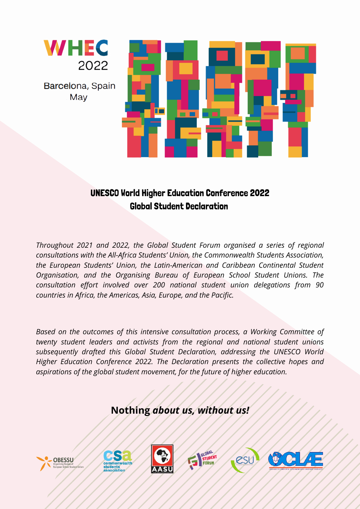

Barcelona, Spain May



## UNESCO World Higher Education Conference 2022 Global Student Declaration

*Throughout 2021 and 2022, the Global Student Forum organised a series of regional consultations with the All-Africa Students' Union, the Commonwealth Students Association, the European Students' Union, the Latin-American and Caribbean Continental Student Organisation, and the Organising Bureau of European School Student Unions. The consultation effort involved over 200 national student union delegations from 90 countries in Africa, the Americas, Asia, Europe, and the Pacific.*

*Based on the outcomes of this intensive consultation process, a Working Committee of twenty student leaders and activists from the regional and national student unions subsequently drafted this Global Student Declaration, addressing the UNESCO World Higher Education Conference 2022. The Declaration presents the collective hopes and aspirations of the global student movement, for the future of higher education.*

### **Nothing** *about us, without us!*







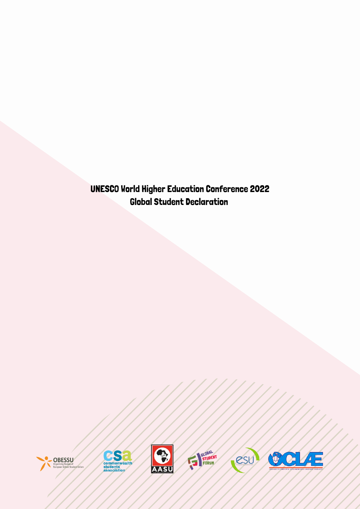UNESCO World Higher Education Conference 2022 Global Student Declaration









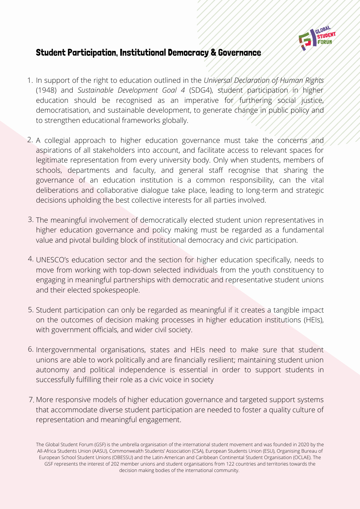

#### Student Participation, Institutional Democracy & Governance

- 1. In support of the right to education outlined in the *Universal Declaration of Human Rights* (1948) and *Sustainable Development Goal 4* (SDG4), student participation in higher education should be recognised as an imperative for furthering social justice, democratisation, and sustainable development, to generate change in public policy and to strengthen educational frameworks globally.
- A collegial approach to higher education governance must take the concerns and 2. aspirations of all stakeholders into account, and facilitate access to relevant spaces for legitimate representation from every university body. Only when students, members of schools, departments and faculty, and general staff recognise that sharing the governance of an education institution is a common responsibility, can the vital deliberations and collaborative dialogue take place, leading to long-term and strategic decisions upholding the best collective interests for all parties involved.
- 3. The meaningful involvement of democratically elected student union representatives in higher education governance and policy making must be regarded as a fundamental value and pivotal building block of institutional democracy and civic participation.
- UNESCO's education sector and the section for higher education specifically, needs to 4. move from working with top-down selected individuals from the youth constituency to engaging in meaningful partnerships with democratic and representative student unions and their elected spokespeople.
- 5. Student participation can only be regarded as meaningful if it creates a tangible impact on the outcomes of decision making processes in higher education institutions (HEIs), with government officials, and wider civil society.
- 6. Intergovernmental organisations, states and HEIs need to make sure that student unions are able to work politically and are financially resilient; maintaining student union autonomy and political independence is essential in order to support students in successfully fulfilling their role as a civic voice in society
- More responsive models of higher education governance and targeted support systems 7.that accommodate diverse student participation are needed to foster a quality culture of representation and meaningful engagement.

The Global Student Forum (GSF) is the umbrella organisation of the international student movement and was founded in 2020 by the All-Africa Students Union (AASU), Commonwealth Students' Association (CSA), European Students Union (ESU), Organising Bureau of European School Student Unions (OBESSU) and the Latin-American and Caribbean Continental Student Organisation (OCLAE). The GSF represents the interest of 202 member unions and student organisations from 122 countries and territories towards the decision making bodies of the international community.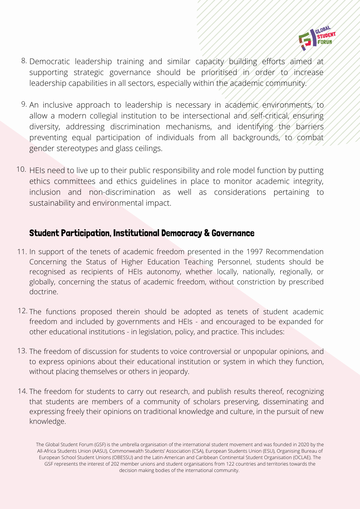

- 8. Democratic leadership training and similar capacity building efforts aimed at supporting strategic governance should be prioritised in order to increase leadership capabilities in all sectors, especially within the academic community.
- 9. An inclusive approach to leadership is necessary in academic environments, to allow a modern collegial institution to be intersectional and self-critical, ensuring diversity, addressing discrimination mechanisms, and identifying the barriers preventing equal participation of individuals from all backgrounds, to combat gender stereotypes and glass ceilings.
- 10. HEIs need to live up to their public responsibility and role model function by putting ethics committees and ethics guidelines in place to monitor academic integrity, inclusion and non-discrimination as well as considerations pertaining to sustainability and environmental impact.

#### Student Participation, Institutional Democracy & Governance

- In support of the tenets of academic freedom presented in the 1997 Recommendation 11. Concerning the Status of Higher Education Teaching Personnel, students should be recognised as recipients of HEIs autonomy, whether locally, nationally, regionally, or globally, concerning the status of academic freedom, without constriction by prescribed doctrine.
- 12. The functions proposed therein should be adopted as tenets of student academic freedom and included by governments and HEIs - and encouraged to be expanded for other educational institutions - in legislation, policy, and practice. This includes:
- 13. The freedom of discussion for students to voice controversial or unpopular opinions, and to express opinions about their educational institution or system in which they function, without placing themselves or others in jeopardy.
- The freedom for students to carry out research, and publish results thereof, recognizing 14.that students are members of a community of scholars preserving, disseminating and expressing freely their opinions on traditional knowledge and culture, in the pursuit of new knowledge.

The Global Student Forum (GSF) is the umbrella organisation of the international student movement and was founded in 2020 by the All-Africa Students Union (AASU), Commonwealth Students' Association (CSA), European Students Union (ESU), Organising Bureau of European School Student Unions (OBESSU) and the Latin-American and Caribbean Continental Student Organisation (OCLAE). The GSF represents the interest of 202 member unions and student organisations from 122 countries and territories towards the decision making bodies of the international community.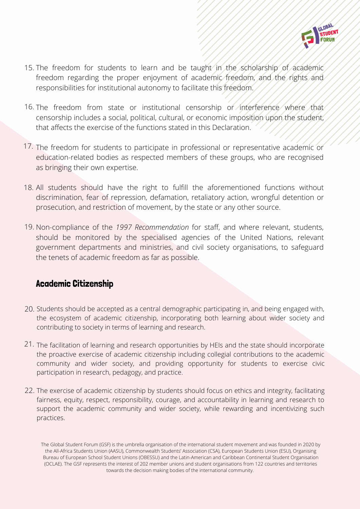

- 15. The freedom for students to learn and be taught in the scholarship of academic freedom regarding the proper enjoyment of academic freedom, and the rights and responsibilities for institutional autonomy to facilitate this freedom.
- 16. The freedom from state or institutional censorship or interference where that censorship includes a social, political, cultural, or economic imposition upon the student, that affects the exercise of the functions stated in this Declaration.
- 17. The freedom for students to participate in professional or representative academic or education-related bodies as respected members of these groups, who are recognised as bringing their own expertise.
- All students should have the right to fulfill the aforementioned functions without 18. discrimination, fear of repression, defamation, retaliatory action, wrongful detention or prosecution, and restriction of movement, by the state or any other source.
- 19. Non-compliance of the 1997 Recommendation for staff, and where relevant, students, should be monitored by the specialised agencies of the United Nations, relevant government departments and ministries, and civil society organisations, to safeguard the tenets of academic freedom as far as possible.

#### Academic Citizenship

- 20. Students should be accepted as a central demographic participating in, and being engaged with, the ecosystem of academic citizenship, incorporating both learning about wider society and contributing to society in terms of learning and research.
- 21. The facilitation of learning and research opportunities by HEIs and the state should incorporate the proactive exercise of academic citizenship including collegial contributions to the academic community and wider society, and providing opportunity for students to exercise civic participation in research, pedagogy, and practice.
- 22. The exercise of academic citizenship by students should focus on ethics and integrity, facilitating fairness, equity, respect, responsibility, courage, and accountability in learning and research to support the academic community and wider society, while rewarding and incentivizing such practices.

The Global Student Forum (GSF) is the umbrella organisation of the international student movement and was founded in 2020 by the All-Africa Students Union (AASU), Commonwealth Students' Association (CSA), European Students Union (ESU), Organising Bureau of European School Student Unions (OBESSU) and the Latin-American and Caribbean Continental Student Organisation (OCLAE). The GSF represents the interest of 202 member unions and student organisations from 122 countries and territories towards the decision making bodies of the international community.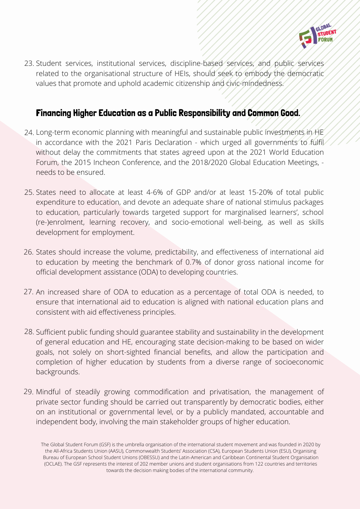

23. Student services, institutional services, discipline-based services, and public services related to the organisational structure of HEIs, should seek to embody the democratic values that promote and uphold academic citizenship and civic-mindedness.

#### Financing Higher Education as a Public Responsibility and Common Good.

- 24. Long-term economic planning with meaningful and sustainable public investments in HE in accordance with the 2021 Paris Declaration - which urged all governments to fulfil without delay the commitments that states agreed upon at the 2021 World Education Forum, the 2015 Incheon Conference, and the 2018/2020 Global Education Meetings, needs to be ensured.
- 25. States need to allocate at least 4-6% of GDP and/or at least 15-20% of total public expenditure to education, and devote an adequate share of national stimulus packages to education, particularly towards targeted support for marginalised learners', school (re-)enrolment, learning recovery, and socio-emotional well-being, as well as skills development for employment.
- 26. States should increase the volume, predictability, and effectiveness of international aid to education by meeting the benchmark of 0.7% of donor gross national income for official development assistance (ODA) to developing countries.
- 27. An increased share of ODA to education as a percentage of total ODA is needed, to ensure that international aid to education is aligned with national education plans and consistent with aid effectiveness principles.
- 28. Sufficient public funding should guarantee stability and sustainability in the development of general education and HE, encouraging state decision-making to be based on wider goals, not solely on short-sighted financial benefits, and allow the participation and completion of higher education by students from a diverse range of socioeconomic backgrounds.
- Mindful of steadily growing commodification and privatisation, the management of 29.private sector funding should be carried out transparently by democratic bodies, either on an institutional or governmental level, or by a publicly mandated, accountable and independent body, involving the main stakeholder groups of higher education.

The Global Student Forum (GSF) is the umbrella organisation of the international student movement and was founded in 2020 by the All-Africa Students Union (AASU), Commonwealth Students' Association (CSA), European Students Union (ESU), Organising Bureau of European School Student Unions (OBESSU) and the Latin-American and Caribbean Continental Student Organisation (OCLAE). The GSF represents the interest of 202 member unions and student organisations from 122 countries and territories towards the decision making bodies of the international community.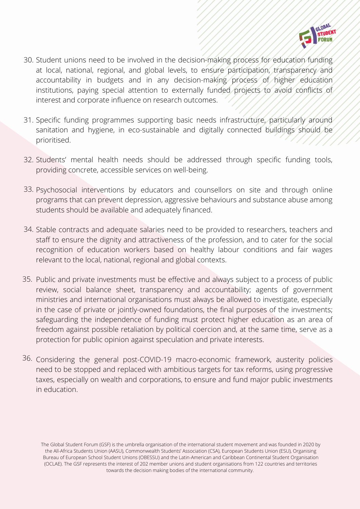

- Student unions need to be involved in the decision-making process for education funding 30. at local, national, regional, and global levels, to ensure participation, transparency and accountability in budgets and in any decision-making process of higher education institutions, paying special attention to externally funded projects to avoid conflicts of interest and corporate influence on research outcomes.
- Specific funding programmes supporting basic needs infrastructure, particularly around 31. sanitation and hygiene, in eco-sustainable and digitally connected buildings should be prioritised.
- Students' mental health needs should be addressed through specific funding tools, 32. providing concrete, accessible services on well-being.
- 33. Psychosocial interventions by educators and counsellors on site and through online programs that can prevent depression, aggressive behaviours and substance abuse among students should be available and adequately financed.
- Stable contracts and adequate salaries need to be provided to researchers, teachers and 34. staff to ensure the dignity and attractiveness of the profession, and to cater for the social recognition of education workers based on healthy labour conditions and fair wages relevant to the local, national, regional and global contexts.
- 35. Public and private investments must be effective and always subject to a process of public review, social balance sheet, transparency and accountability; agents of government ministries and international organisations must always be allowed to investigate, especially in the case of private or jointly-owned foundations, the final purposes of the investments; safeguarding the independence of funding must protect higher education as an area of freedom against possible retaliation by political coercion and, at the same time, serve as a protection for public opinion against speculation and private interests.
- 36. Considering the general post-COVID-19 macro-economic framework, austerity policies need to be stopped and replaced with ambitious targets for tax reforms, using progressive taxes, especially on wealth and corporations, to ensure and fund major public investments in education.

The Global Student Forum (GSF) is the umbrella organisation of the international student movement and was founded in 2020 by the All-Africa Students Union (AASU), Commonwealth Students' Association (CSA), European Students Union (ESU), Organising Bureau of European School Student Unions (OBESSU) and the Latin-American and Caribbean Continental Student Organisation (OCLAE). The GSF represents the interest of 202 member unions and student organisations from 122 countries and territories towards the decision making bodies of the international community.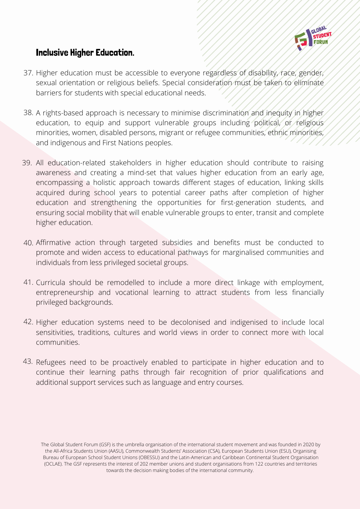

#### Inclusive Higher Education.

- 37. Higher education must be accessible to everyone regardless of disability, race, gender, sexual orientation or religious beliefs. Special consideration must be taken to eliminate barriers for students with special educational needs.
- 38. A rights-based approach is necessary to minimise discrimination and inequity in higher education, to equip and support vulnerable groups including political, or religious minorities, women, disabled persons, migrant or refugee communities, ethnic minorities, and indigenous and First Nations peoples.
- 39. All education-related stakeholders in higher education should contribute to raising awareness and creating a mind-set that values higher education from an early age, encompassing a holistic approach towards different stages of education, linking skills acquired during school years to potential career paths after completion of higher education and strengthening the opportunities for first-generation students, and ensuring social mobility that will enable vulnerable groups to enter, transit and complete higher education.
- Affirmative action through targeted subsidies and benefits must be conducted to 40. promote and widen access to educational pathways for marginalised communities and individuals from less privileged societal groups.
- Curricula should be remodelled to include a more direct linkage with employment, 41. entrepreneurship and vocational learning to attract students from less financially privileged backgrounds.
- 42. Higher education systems need to be decolonised and indigenised to include local sensitivities, traditions, cultures and world views in order to connect more with local communities.
- $43$ . Refugees need to be proactively enabled to participate in higher education and to continue their learning paths through fair recognition of prior qualifications and additional support services such as language and entry courses.

The Global Student Forum (GSF) is the umbrella organisation of the international student movement and was founded in 2020 by the All-Africa Students Union (AASU), Commonwealth Students' Association (CSA), European Students Union (ESU), Organising Bureau of European School Student Unions (OBESSU) and the Latin-American and Caribbean Continental Student Organisation (OCLAE). The GSF represents the interest of 202 member unions and student organisations from 122 countries and territories towards the decision making bodies of the international community.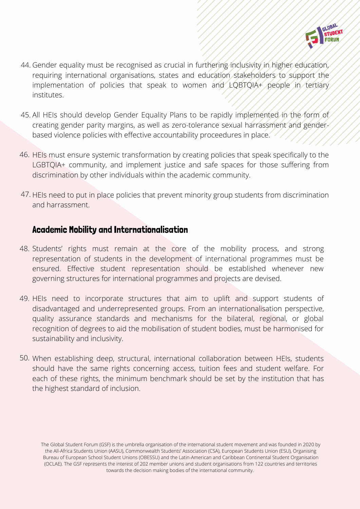

- 44. Gender equality must be recognised as crucial in furthering inclusivity in higher education, requiring international organisations, states and education stakeholders to support the implementation of policies that speak to women and LQBTQIA+ people in tertiary institutes.
- All HEIs should develop Gender Equality Plans to be rapidly implemented in the form of 45. creating gender parity margins, as well as zero-tolerance sexual harrassment and genderbased violence policies with effective accountability proceedures in place.
- HEIs must ensure systemic transformation by creating policies that speak specifically to the 46. LGBTQIA+ community, and implement justice and safe spaces for those suffering from discrimination by other individuals within the academic community.
- 47. HEIs need to put in place policies that prevent minority group students from discrimination and harrassment.

#### Academic Mobility and Internationalisation

- 48. Students' rights must remain at the core of the mobility process, and strong representation of students in the development of international programmes must be ensured. Effective student representation should be established whenever new governing structures for international programmes and projects are devised.
- 49. HEIs need to incorporate structures that aim to uplift and support students of disadvantaged and underrepresented groups. From an internationalisation perspective, quality assurance standards and mechanisms for the bilateral, regional, or global recognition of degrees to aid the mobilisation of student bodies, must be harmonised for sustainability and inclusivity.
- 50. When establishing deep, structural, international collaboration between HEIs, students should have the same rights concerning access, tuition fees and student welfare. For each of these rights, the minimum benchmark should be set by the institution that has the highest standard of inclusion.

The Global Student Forum (GSF) is the umbrella organisation of the international student movement and was founded in 2020 by the All-Africa Students Union (AASU), Commonwealth Students' Association (CSA), European Students Union (ESU), Organising Bureau of European School Student Unions (OBESSU) and the Latin-American and Caribbean Continental Student Organisation (OCLAE). The GSF represents the interest of 202 member unions and student organisations from 122 countries and territories towards the decision making bodies of the international community.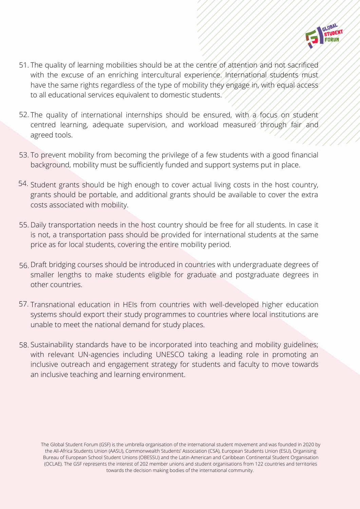

- 51. The quality of learning mobilities should be at the centre of attention and not sacrificed with the excuse of an enriching intercultural experience. International students must have the same rights regardless of the type of mobility they engage in, with equal access to all educational services equivalent to domestic students.
- 52. The quality of international internships should be ensured, with a focus on student centred learning, adequate supervision, and workload measured through fair and agreed tools.
- 53. To prevent mobility from becoming the privilege of a few students with a good financial background, mobility must be sufficiently funded and support systems put in place.
- 54. Student grants should be high enough to cover actual living costs in the host country, grants should be portable, and additional grants should be available to cover the extra costs associated with mobility.
- 55. Daily transportation needs in the host country should be free for all students. In case it is not, a transportation pass should be provided for international students at the same price as for local students, covering the entire mobility period.
- 56. Draft bridging courses should be introduced in countries with undergraduate degrees of smaller lengths to make students eligible for graduate and postgraduate degrees in other countries.
- 57. Transnational education in HEIs from countries with well-developed higher education systems should export their study programmes to countries where local institutions are unable to meet the national demand for study places.
- 58. Sustainability standards have to be incorporated into teaching and mobility guidelines; with relevant UN-agencies including UNESCO taking a leading role in promoting an inclusive outreach and engagement strategy for students and faculty to move towards an inclusive teaching and learning environment.

The Global Student Forum (GSF) is the umbrella organisation of the international student movement and was founded in 2020 by the All-Africa Students Union (AASU), Commonwealth Students' Association (CSA), European Students Union (ESU), Organising Bureau of European School Student Unions (OBESSU) and the Latin-American and Caribbean Continental Student Organisation (OCLAE). The GSF represents the interest of 202 member unions and student organisations from 122 countries and territories towards the decision making bodies of the international community.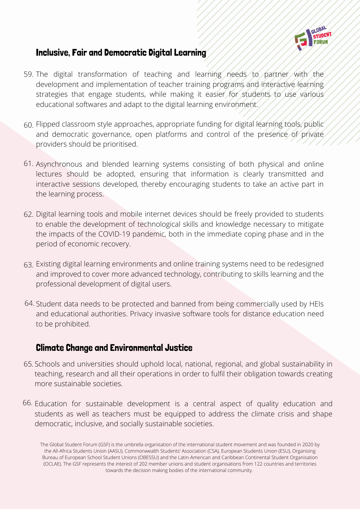

#### Inclusive, Fair and Democratic Digital Learning

- 59. The digital transformation of teaching and learning needs to partner with the development and implementation of teacher training programs and interactive learning strategies that engage students, while making it easier for students to use various educational softwares and adapt to the digital learning environment.
- Flipped classroom style approaches, appropriate funding for digital learning tools, public 60. and democratic governance, open platforms and control of the presence of private providers should be prioritised.
- 61. Asynchronous and blended learning systems consisting of both physical and online lectures should be adopted, ensuring that information is clearly transmitted and interactive sessions developed, thereby encouraging students to take an active part in the learning process.
- 62. Digital learning tools and mobile internet devices should be freely provided to students to enable the development of technological skills and knowledge necessary to mitigate the impacts of the COVID-19 pandemic, both in the immediate coping phase and in the period of economic recovery.
- Existing digital learning environments and online training systems need to be redesigned 63. and improved to cover more advanced technology, contributing to skills learning and the professional development of digital users.
- Student data needs to be protected and banned from being commercially used by HEIs 64. and educational authorities. Privacy invasive software tools for distance education need to be prohibited.

#### Climate Change and Environmental Justice

- Schools and universities should uphold local, national, regional, and global sustainability in 65. teaching, research and all their operations in order to fulfil their obligation towards creating more sustainable societies.
- Education for sustainable development is a central aspect of quality education and 66.students as well as teachers must be equipped to address the climate crisis and shape democratic, inclusive, and socially sustainable societies.

The Global Student Forum (GSF) is the umbrella organisation of the international student movement and was founded in 2020 by the All-Africa Students Union (AASU), Commonwealth Students' Association (CSA), European Students Union (ESU), Organising Bureau of European School Student Unions (OBESSU) and the Latin-American and Caribbean Continental Student Organisation (OCLAE). The GSF represents the interest of 202 member unions and student organisations from 122 countries and territories towards the decision making bodies of the international community.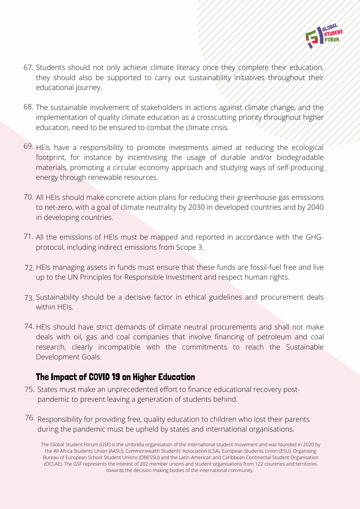

- Students should not only achieve climate literacy once they complete their education, 67. they should also be supported to carry out sustainability initiatives throughout their educational journey.
- The sustainable involvement of stakeholders in actions against climate change, and the 68. implementation of quality climate education as a crosscutting priority throughout higher education, need to be ensured to combat the climate crisis.
- 69. HEIs have a responsibility to promote investments aimed at reducing the ecological footprint, for instance by incentivising the usage of durable and/or biodegradable materials, promoting a circular economy approach and studying ways of self-producing energy through renewable resources.
- 70. All HEIs should make concrete action plans for reducing their greenhouse gas emissions to net-zero, with a goal of climate neutrality by 2030 in developed countries and by 2040 in developing countries.
- 71. All the emissions of HEIs must be mapped and reported in accordance with the GHGprotocol, including indirect emissions from Scope 3.
- 72. HEIs managing assets in funds must ensure that these funds are fossil-fuel free and live up to the UN Principles for Responsible Investment and respect human rights.
- 73. Sustainability should be a decisive factor in ethical guidelines and procurement deals within HEIs.
- 74. HEIs should have strict demands of climate neutral procurements and shall not make deals with oil, gas and coal companies that involve financing of petroleum and coal research, clearly incompatible with the commitments to reach the Sustainable Development Goals.

#### The Impact of COVID 19 on Higher Education

- States must make an unprecedented effort to finance educational recovery post-75. pandemic to prevent leaving a generation of students behind.
- $76.$  Responsibility for providing free, quality education to children who lost their parents during the pandemic must be upheld by states and international organisations.

The Global Student Forum (GSF) is the umbrella organisation of the international student movement and was founded in 2020 by the All-Africa Students Union (AASU), Commonwealth Students' Association (CSA), European Students Union (ESU), Organising Bureau of European School Student Unions (OBESSU) and the Latin-American and Caribbean Continental Student Organisation (OCLAE). The GSF represents the interest of 202 member unions and student organisations from 122 countries and territories towards the decision making bodies of the international community.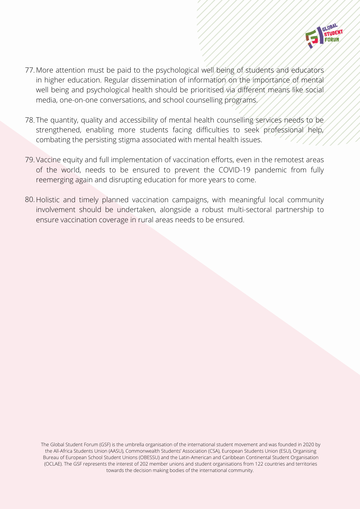

- More attention must be paid to the psychological well being of students and educators 77. in higher education. Regular dissemination of information on the importance of mental well being and psychological health should be prioritised via different means like social media, one-on-one conversations, and school counselling programs.
- The quantity, quality and accessibility of mental health counselling services needs to be 78. strengthened, enabling more students facing difficulties to seek professional help, combating the persisting stigma associated with mental health issues.
- 79. Vaccine equity and full implementation of vaccination efforts, even in the remotest areas of the world, needs to be ensured to prevent the COVID-19 pandemic from fully reemerging again and disrupting education for more years to come.
- 80. Holistic and timely planned vaccination campaigns, with meaningful local community involvement should be undertaken, alongside a robust multi-sectoral partnership to ensure vaccination coverage in rural areas needs to be ensured.

The Global Student Forum (GSF) is the umbrella organisation of the international student movement and was founded in 2020 by the All-Africa Students Union (AASU), Commonwealth Students' Association (CSA), European Students Union (ESU), Organising Bureau of European School Student Unions (OBESSU) and the Latin-American and Caribbean Continental Student Organisation (OCLAE). The GSF represents the interest of 202 member unions and student organisations from 122 countries and territories towards the decision making bodies of the international community.